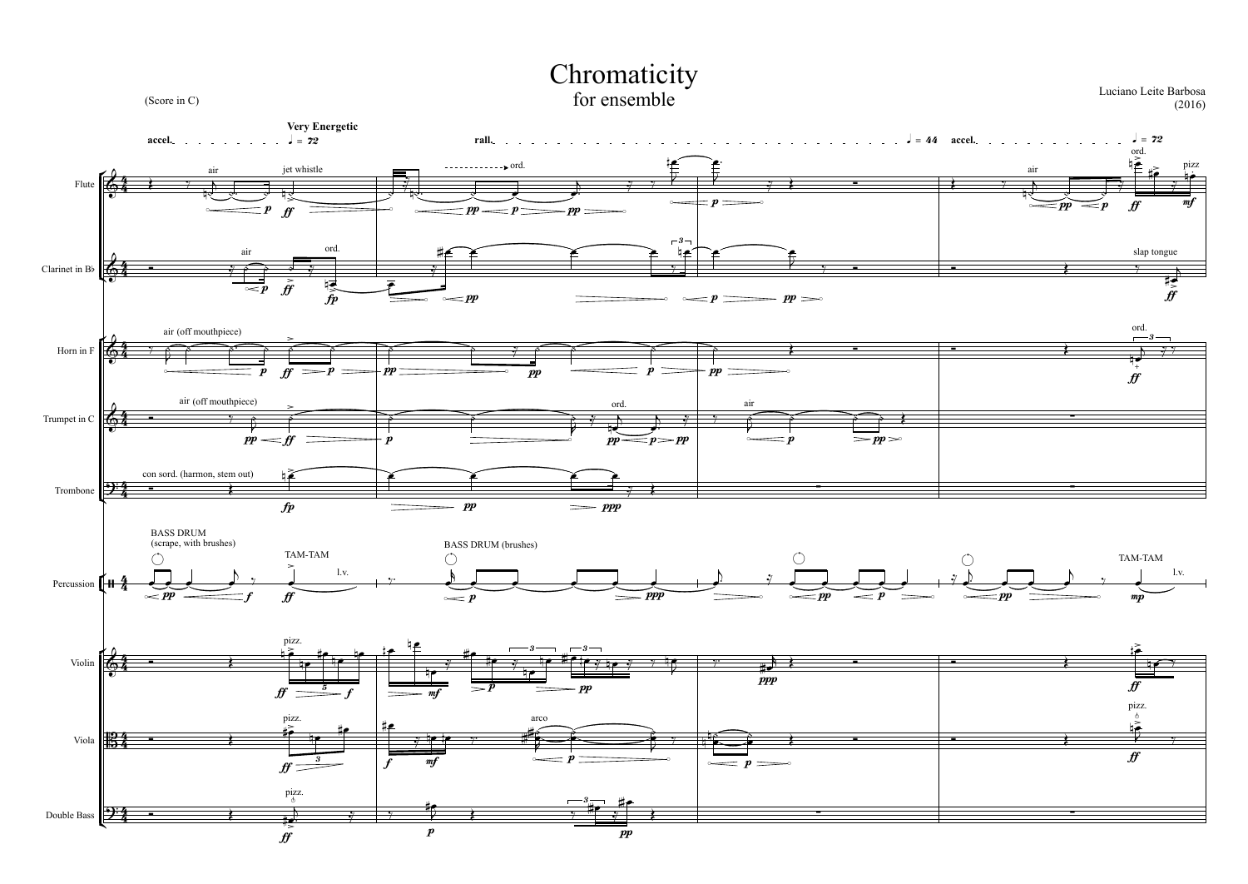